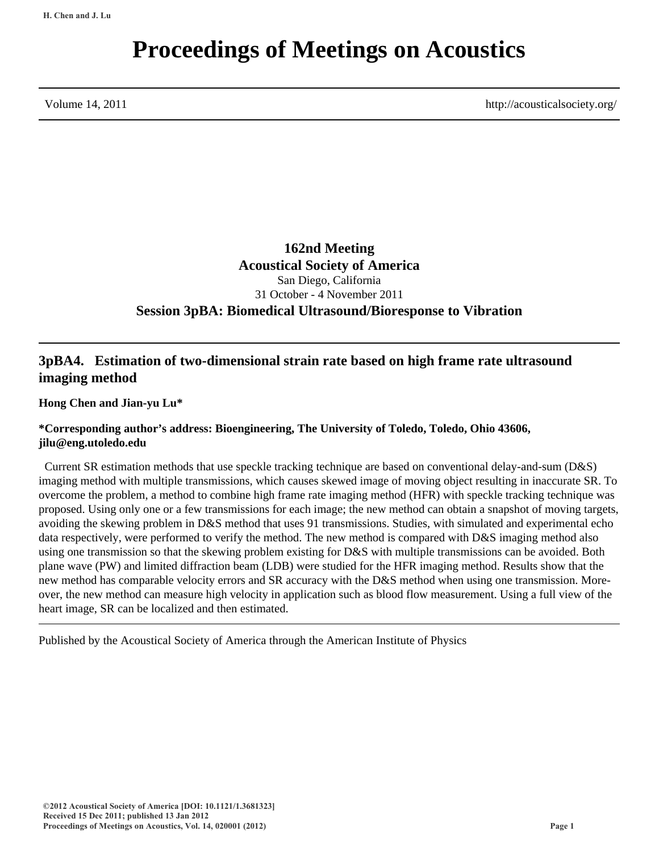# **Proceedings of Meetings on Acoustics**

Volume 14, 2011 http://acousticalsociety.org/

**162nd Meeting Acoustical Society of America** San Diego, California 31 October - 4 November 2011 **Session 3pBA: Biomedical Ultrasound/Bioresponse to Vibration**

# **3pBA4. Estimation of two-dimensional strain rate based on high frame rate ultrasound imaging method**

**Hong Chen and Jian-yu Lu\***

## **\*Corresponding author's address: Bioengineering, The University of Toledo, Toledo, Ohio 43606, jilu@eng.utoledo.edu**

 Current SR estimation methods that use speckle tracking technique are based on conventional delay-and-sum (D&S) imaging method with multiple transmissions, which causes skewed image of moving object resulting in inaccurate SR. To overcome the problem, a method to combine high frame rate imaging method (HFR) with speckle tracking technique was proposed. Using only one or a few transmissions for each image; the new method can obtain a snapshot of moving targets, avoiding the skewing problem in D&S method that uses 91 transmissions. Studies, with simulated and experimental echo data respectively, were performed to verify the method. The new method is compared with D&S imaging method also using one transmission so that the skewing problem existing for D&S with multiple transmissions can be avoided. Both plane wave (PW) and limited diffraction beam (LDB) were studied for the HFR imaging method. Results show that the new method has comparable velocity errors and SR accuracy with the D&S method when using one transmission. Moreover, the new method can measure high velocity in application such as blood flow measurement. Using a full view of the heart image, SR can be localized and then estimated.

Published by the Acoustical Society of America through the American Institute of Physics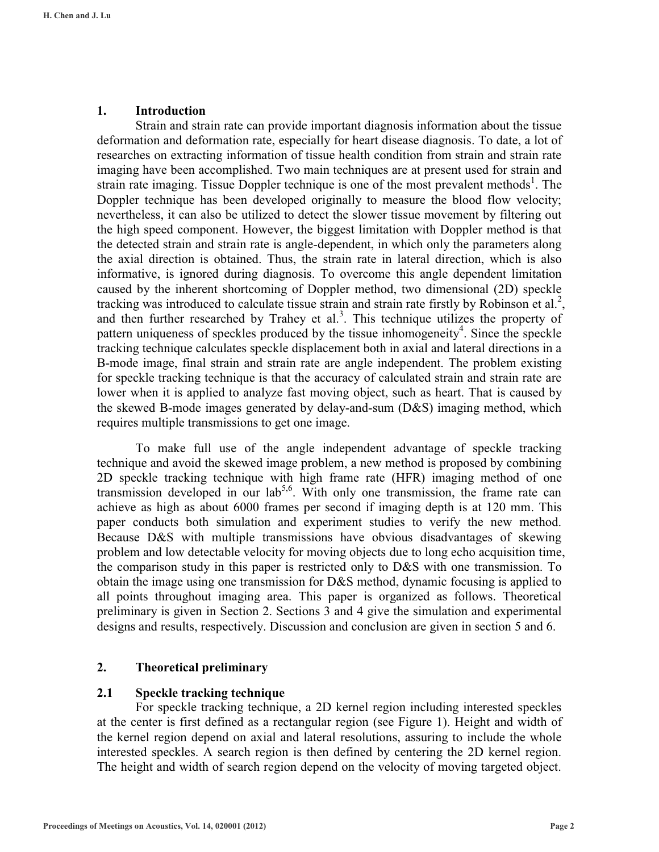#### **1. Introduction**

 Strain and strain rate can provide important diagnosis information about the tissue deformation and deformation rate, especially for heart disease diagnosis. To date, a lot of researches on extracting information of tissue health condition from strain and strain rate imaging have been accomplished. Two main techniques are at present used for strain and strain rate imaging. Tissue Doppler technique is one of the most prevalent methods<sup>1</sup>. The Doppler technique has been developed originally to measure the blood flow velocity; nevertheless, it can also be utilized to detect the slower tissue movement by filtering out the high speed component. However, the biggest limitation with Doppler method is that the detected strain and strain rate is angle-dependent, in which only the parameters along the axial direction is obtained. Thus, the strain rate in lateral direction, which is also informative, is ignored during diagnosis. To overcome this angle dependent limitation caused by the inherent shortcoming of Doppler method, two dimensional (2D) speckle tracking was introduced to calculate tissue strain and strain rate firstly by Robinson et al.<sup>2</sup>, and then further researched by Trahey et al.<sup>3</sup>. This technique utilizes the property of pattern uniqueness of speckles produced by the tissue inhomogeneity<sup>4</sup>. Since the speckle tracking technique calculates speckle displacement both in axial and lateral directions in a B-mode image, final strain and strain rate are angle independent. The problem existing for speckle tracking technique is that the accuracy of calculated strain and strain rate are lower when it is applied to analyze fast moving object, such as heart. That is caused by the skewed B-mode images generated by delay-and-sum (D&S) imaging method, which requires multiple transmissions to get one image.

To make full use of the angle independent advantage of speckle tracking technique and avoid the skewed image problem, a new method is proposed by combining 2D speckle tracking technique with high frame rate (HFR) imaging method of one transmission developed in our  $\text{lab}^{5,6}$ . With only one transmission, the frame rate can achieve as high as about 6000 frames per second if imaging depth is at 120 mm. This paper conducts both simulation and experiment studies to verify the new method. Because D&S with multiple transmissions have obvious disadvantages of skewing problem and low detectable velocity for moving objects due to long echo acquisition time, the comparison study in this paper is restricted only to D&S with one transmission. To obtain the image using one transmission for D&S method, dynamic focusing is applied to all points throughout imaging area. This paper is organized as follows. Theoretical preliminary is given in Section 2. Sections 3 and 4 give the simulation and experimental designs and results, respectively. Discussion and conclusion are given in section 5 and 6.

#### **2. Theoretical preliminary**

## **2.1 Speckle tracking technique**

For speckle tracking technique, a 2D kernel region including interested speckles at the center is first defined as a rectangular region (see Figure 1). Height and width of the kernel region depend on axial and lateral resolutions, assuring to include the whole interested speckles. A search region is then defined by centering the 2D kernel region. The height and width of search region depend on the velocity of moving targeted object.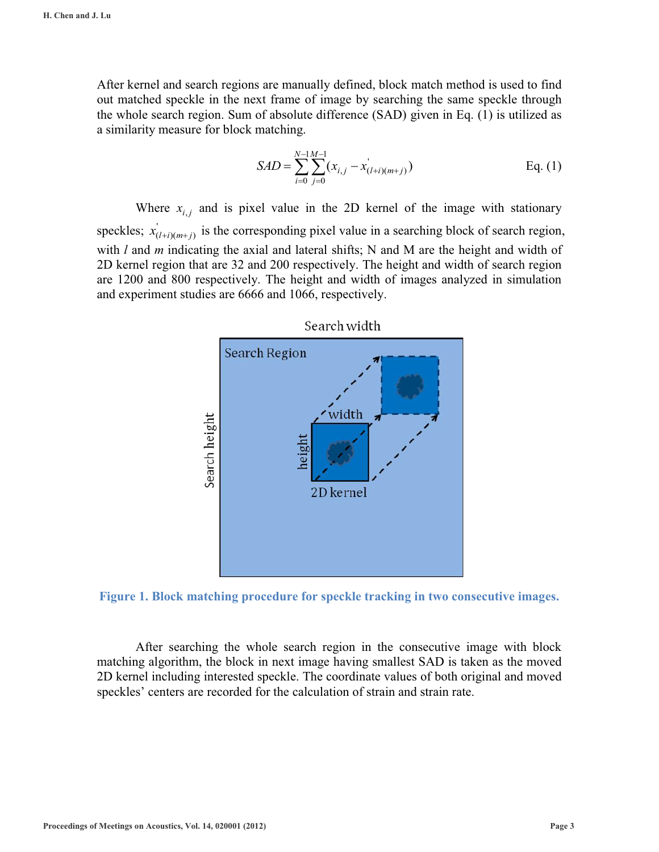After kernel and search regions are manually defined, block match method is used to find out matched speckle in the next frame of image by searching the same speckle through the whole search region. Sum of absolute difference (SAD) given in Eq. (1) is utilized as a similarity measure for block matching.

$$
SAD = \sum_{i=0}^{N-1} \sum_{j=0}^{M-1} (x_{i,j} - x'_{(l+i)(m+j)})
$$
 Eq. (1)

Where  $x_{i,i}$  and is pixel value in the 2D kernel of the image with stationary speckles;  $x'_{(l+i)(m+j)}$  is the corresponding pixel value in a searching block of search region, with *l* and *m* indicating the axial and lateral shifts; N and M are the height and width of 2D kernel region that are 32 and 200 respectively. The height and width of search region are 1200 and 800 respectively. The height and width of images analyzed in simulation and experiment studies are 6666 and 1066, respectively.



Search width

**Figure 1. Block matching procedure for speckle tracking in two consecutive images.** 

After searching the whole search region in the consecutive image with block matching algorithm, the block in next image having smallest SAD is taken as the moved 2D kernel including interested speckle. The coordinate values of both original and moved speckles' centers are recorded for the calculation of strain and strain rate.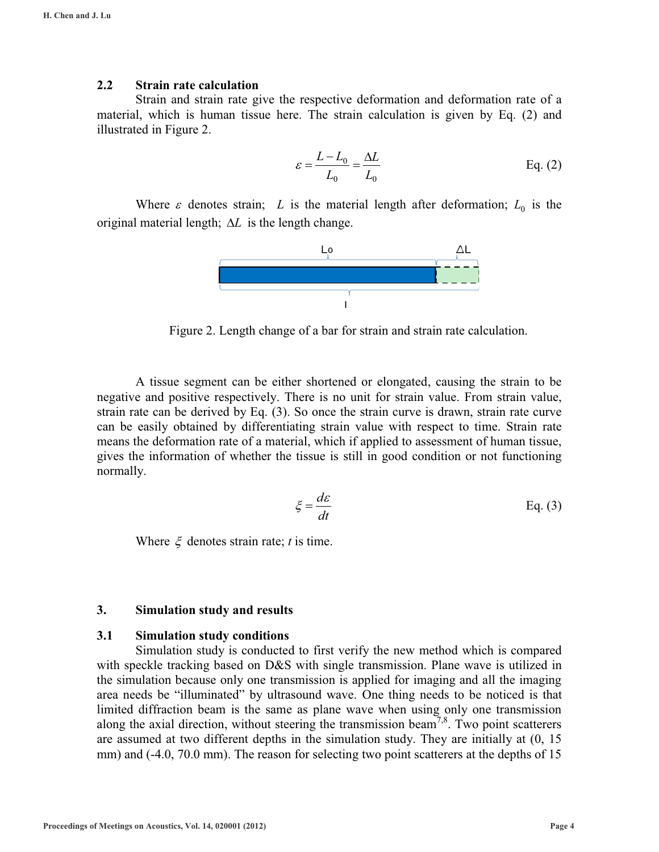### **2.2 Strain rate calculation**

Strain and strain rate give the respective deformation and deformation rate of a material, which is human tissue here. The strain calculation is given by Eq. (2) and illustrated in Figure 2.

$$
\varepsilon = \frac{L - L_0}{L_0} = \frac{\Delta L}{L_0}
$$
 Eq. (2)

Where  $\varepsilon$  denotes strain; *L* is the material length after deformation;  $L_0$  is the original material length;  $\Delta L$  is the length change.



Figure 2. Length change of a bar for strain and strain rate calculation.

 A tissue segment can be either shortened or elongated, causing the strain to be negative and positive respectively. There is no unit for strain value. From strain value, strain rate can be derived by Eq. (3). So once the strain curve is drawn, strain rate curve can be easily obtained by differentiating strain value with respect to time. Strain rate means the deformation rate of a material, which if applied to assessment of human tissue, gives the information of whether the tissue is still in good condition or not functioning normally.

$$
\xi = \frac{d\varepsilon}{dt} \qquad \qquad \text{Eq. (3)}
$$

Where  $\xi$  denotes strain rate; *t* is time.

## **3. Simulation study and results**

#### **3.1 Simulation study conditions**

Simulation study is conducted to first verify the new method which is compared with speckle tracking based on D&S with single transmission. Plane wave is utilized in the simulation because only one transmission is applied for imaging and all the imaging area needs be "illuminated" by ultrasound wave. One thing needs to be noticed is that limited diffraction beam is the same as plane wave when using only one transmission along the axial direction, without steering the transmission beam<sup>7,8</sup>. Two point scatterers are assumed at two different depths in the simulation study. They are initially at (0, 15 mm) and (-4.0, 70.0 mm). The reason for selecting two point scatterers at the depths of 15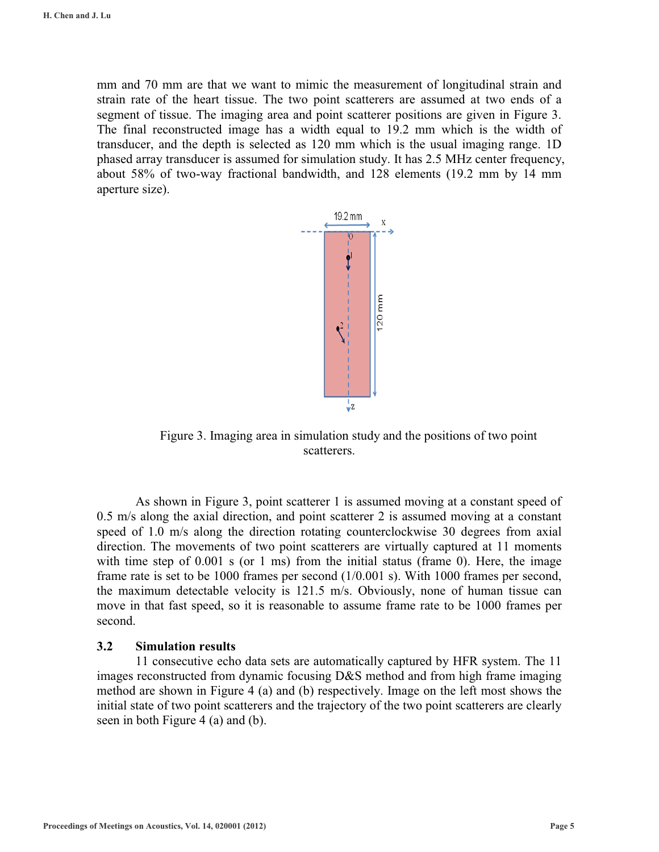mm and 70 mm are that we want to mimic the measurement of longitudinal strain and strain rate of the heart tissue. The two point scatterers are assumed at two ends of a segment of tissue. The imaging area and point scatterer positions are given in Figure 3. The final reconstructed image has a width equal to 19.2 mm which is the width of transducer, and the depth is selected as 120 mm which is the usual imaging range. 1D phased array transducer is assumed for simulation study. It has 2.5 MHz center frequency, about 58% of two-way fractional bandwidth, and 128 elements (19.2 mm by 14 mm aperture size).



Figure 3. Imaging area in simulation study and the positions of two point scatterers.

As shown in Figure 3, point scatterer 1 is assumed moving at a constant speed of 0.5 m/s along the axial direction, and point scatterer 2 is assumed moving at a constant speed of 1.0 m/s along the direction rotating counterclockwise 30 degrees from axial direction. The movements of two point scatterers are virtually captured at 11 moments with time step of  $0.001$  s (or 1 ms) from the initial status (frame 0). Here, the image frame rate is set to be 1000 frames per second (1/0.001 s). With 1000 frames per second, the maximum detectable velocity is 121.5 m/s. Obviously, none of human tissue can move in that fast speed, so it is reasonable to assume frame rate to be 1000 frames per second.

#### **3.2 Simulation results**

 11 consecutive echo data sets are automatically captured by HFR system. The 11 images reconstructed from dynamic focusing D&S method and from high frame imaging method are shown in Figure 4 (a) and (b) respectively. Image on the left most shows the initial state of two point scatterers and the trajectory of the two point scatterers are clearly seen in both Figure 4 (a) and (b).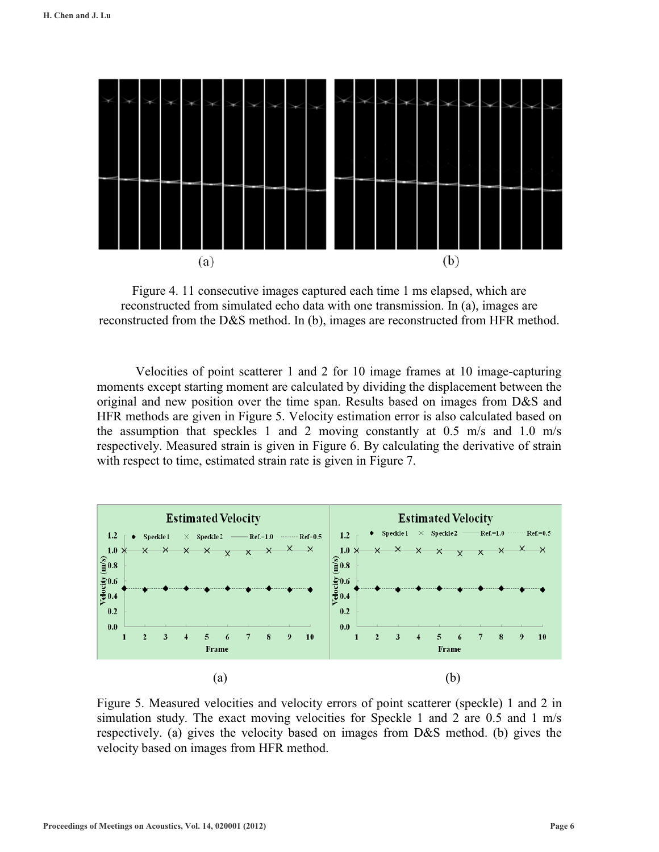

Figure 4. 11 consecutive images captured each time 1 ms elapsed, which are reconstructed from simulated echo data with one transmission. In (a), images are reconstructed from the D&S method. In (b), images are reconstructed from HFR method.

 Velocities of point scatterer 1 and 2 for 10 image frames at 10 image-capturing moments except starting moment are calculated by dividing the displacement between the original and new position over the time span. Results based on images from D&S and HFR methods are given in Figure 5. Velocity estimation error is also calculated based on the assumption that speckles 1 and 2 moving constantly at 0.5 m/s and 1.0 m/s respectively. Measured strain is given in Figure 6. By calculating the derivative of strain with respect to time, estimated strain rate is given in Figure 7.



Figure 5. Measured velocities and velocity errors of point scatterer (speckle) 1 and 2 in simulation study. The exact moving velocities for Speckle 1 and 2 are 0.5 and 1 m/s respectively. (a) gives the velocity based on images from D&S method. (b) gives the velocity based on images from HFR method.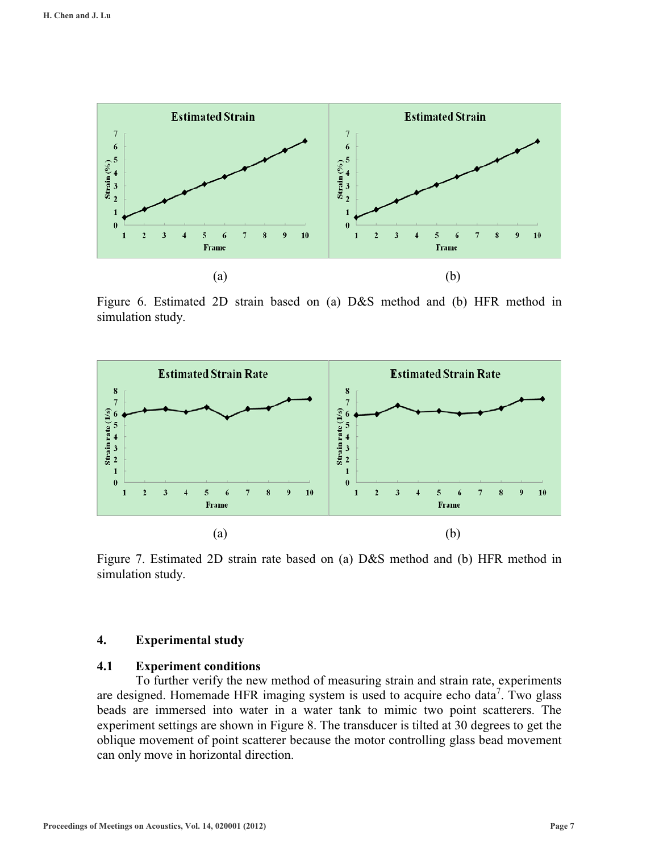

Figure 6. Estimated 2D strain based on (a) D&S method and (b) HFR method in simulation study.



Figure 7. Estimated 2D strain rate based on (a) D&S method and (b) HFR method in simulation study.

### **4. Experimental study**

#### **4.1 Experiment conditions**

To further verify the new method of measuring strain and strain rate, experiments are designed. Homemade HFR imaging system is used to acquire echo data<sup>7</sup>. Two glass beads are immersed into water in a water tank to mimic two point scatterers. The experiment settings are shown in Figure 8. The transducer is tilted at 30 degrees to get the oblique movement of point scatterer because the motor controlling glass bead movement can only move in horizontal direction.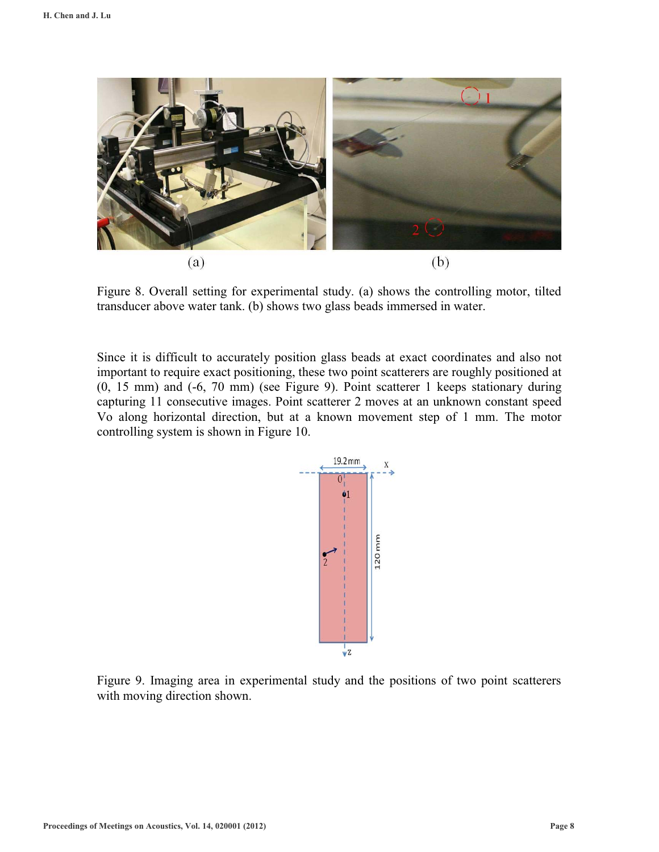

Figure 8. Overall setting for experimental study. (a) shows the controlling motor, tilted transducer above water tank. (b) shows two glass beads immersed in water.

Since it is difficult to accurately position glass beads at exact coordinates and also not important to require exact positioning, these two point scatterers are roughly positioned at (0, 15 mm) and (-6, 70 mm) (see Figure 9). Point scatterer 1 keeps stationary during capturing 11 consecutive images. Point scatterer 2 moves at an unknown constant speed Vo along horizontal direction, but at a known movement step of 1 mm. The motor controlling system is shown in Figure 10.



Figure 9. Imaging area in experimental study and the positions of two point scatterers with moving direction shown.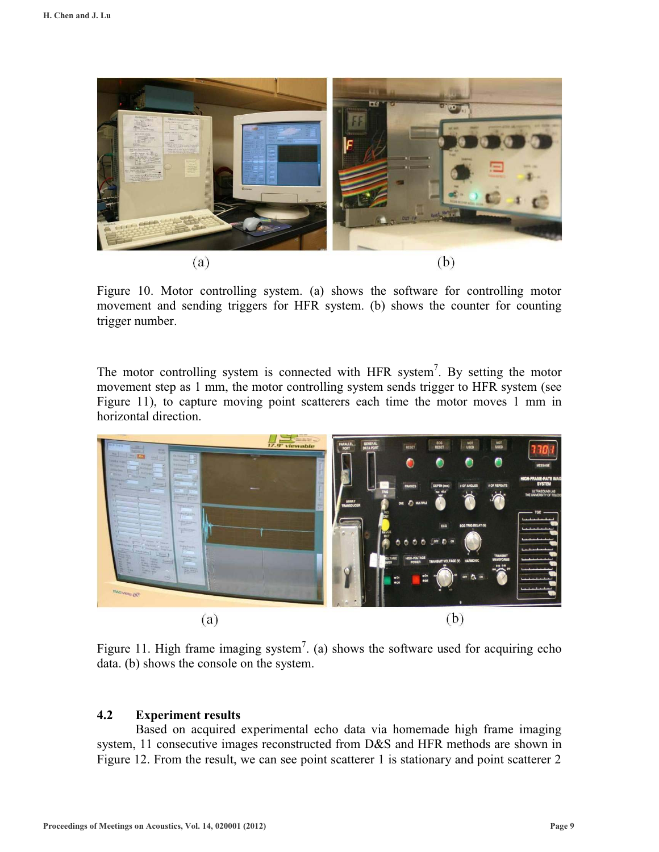

Figure 10. Motor controlling system. (a) shows the software for controlling motor movement and sending triggers for HFR system. (b) shows the counter for counting trigger number.

The motor controlling system is connected with HFR system<sup>7</sup>. By setting the motor movement step as 1 mm, the motor controlling system sends trigger to HFR system (see Figure 11), to capture moving point scatterers each time the motor moves 1 mm in horizontal direction.



Figure 11. High frame imaging system<sup>7</sup>. (a) shows the software used for acquiring echo data. (b) shows the console on the system.

# **4.2 Experiment results**

 Based on acquired experimental echo data via homemade high frame imaging system, 11 consecutive images reconstructed from D&S and HFR methods are shown in Figure 12. From the result, we can see point scatterer 1 is stationary and point scatterer 2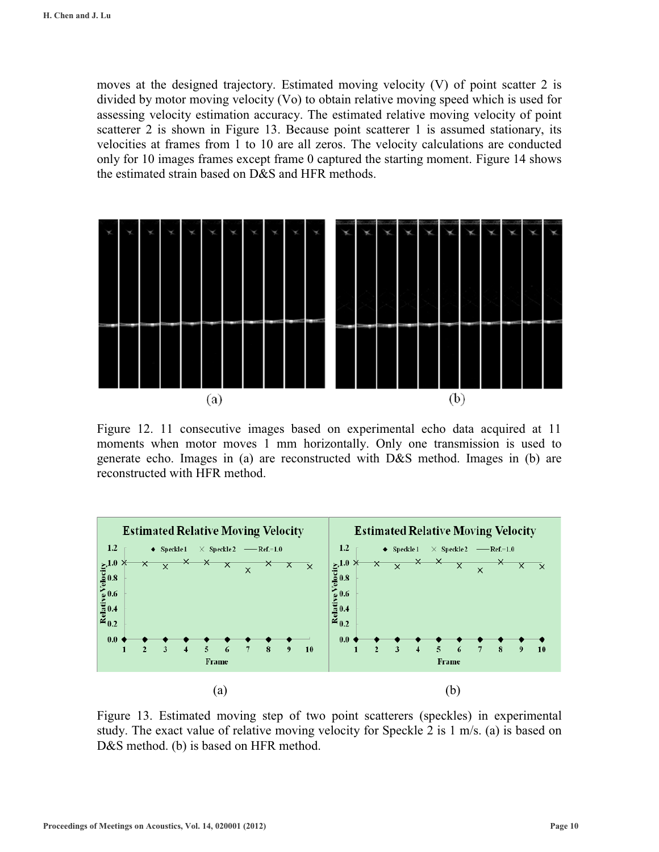moves at the designed trajectory. Estimated moving velocity (V) of point scatter 2 is divided by motor moving velocity (Vo) to obtain relative moving speed which is used for assessing velocity estimation accuracy. The estimated relative moving velocity of point scatterer 2 is shown in Figure 13. Because point scatterer 1 is assumed stationary, its velocities at frames from 1 to 10 are all zeros. The velocity calculations are conducted only for 10 images frames except frame 0 captured the starting moment. Figure 14 shows the estimated strain based on D&S and HFR methods.



Figure 12. 11 consecutive images based on experimental echo data acquired at 11 moments when motor moves 1 mm horizontally. Only one transmission is used to generate echo. Images in (a) are reconstructed with D&S method. Images in (b) are reconstructed with HFR method.



Figure 13. Estimated moving step of two point scatterers (speckles) in experimental study. The exact value of relative moving velocity for Speckle 2 is 1 m/s. (a) is based on D&S method. (b) is based on HFR method.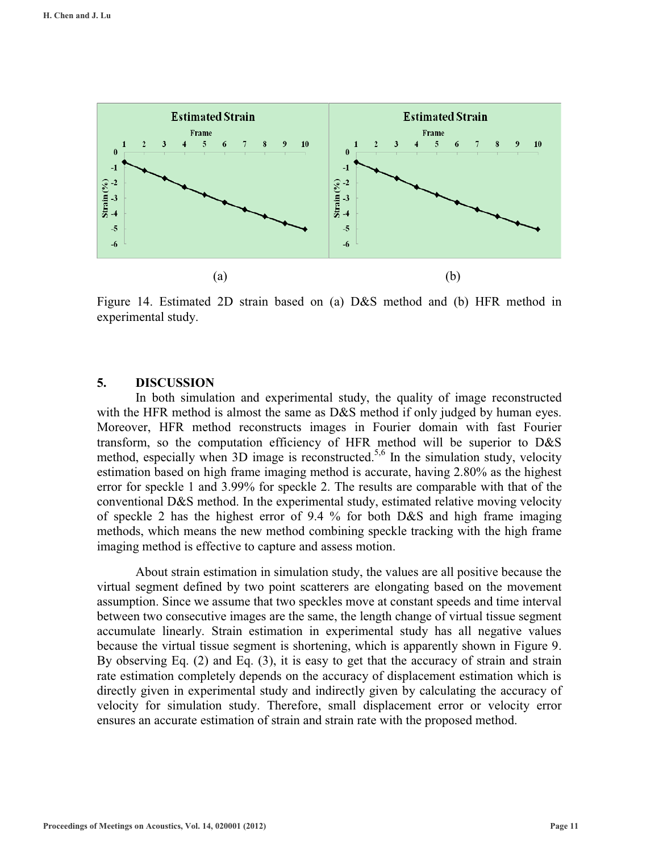

Figure 14. Estimated 2D strain based on (a) D&S method and (b) HFR method in experimental study.

#### **5. DISCUSSION**

 In both simulation and experimental study, the quality of image reconstructed with the HFR method is almost the same as D&S method if only judged by human eyes. Moreover, HFR method reconstructs images in Fourier domain with fast Fourier transform, so the computation efficiency of HFR method will be superior to D&S method, especially when  $3D$  image is reconstructed.<sup>5,6</sup> In the simulation study, velocity estimation based on high frame imaging method is accurate, having 2.80% as the highest error for speckle 1 and 3.99% for speckle 2. The results are comparable with that of the conventional D&S method. In the experimental study, estimated relative moving velocity of speckle 2 has the highest error of 9.4 % for both D&S and high frame imaging methods, which means the new method combining speckle tracking with the high frame imaging method is effective to capture and assess motion.

About strain estimation in simulation study, the values are all positive because the virtual segment defined by two point scatterers are elongating based on the movement assumption. Since we assume that two speckles move at constant speeds and time interval between two consecutive images are the same, the length change of virtual tissue segment accumulate linearly. Strain estimation in experimental study has all negative values because the virtual tissue segment is shortening, which is apparently shown in Figure 9. By observing Eq. (2) and Eq. (3), it is easy to get that the accuracy of strain and strain rate estimation completely depends on the accuracy of displacement estimation which is directly given in experimental study and indirectly given by calculating the accuracy of velocity for simulation study. Therefore, small displacement error or velocity error ensures an accurate estimation of strain and strain rate with the proposed method.